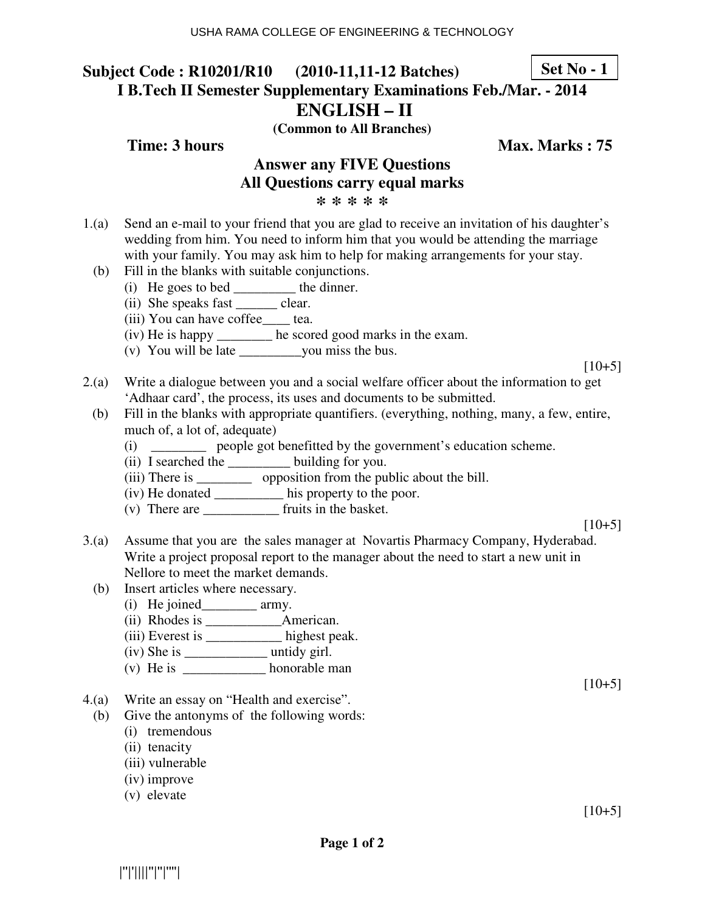#### **Subject Code : R10201/R10 (2010-11,11-12 Batches) I B.Tech II Semester Supplementary Examinations Feb./Mar. - 2014 ENGLISH – II Set No - 1**

**(Common to All Branches)**

**Time: 3 hours** Max. Marks : 75

### **Answer any FIVE Questions All Questions carry equal marks \* \* \* \* \***

- 1.(a) Send an e-mail to your friend that you are glad to receive an invitation of his daughter's wedding from him. You need to inform him that you would be attending the marriage with your family. You may ask him to help for making arrangements for your stay.
	- (b) Fill in the blanks with suitable conjunctions.
		- (i) He goes to bed \_\_\_\_\_\_\_\_\_ the dinner.
		- (ii) She speaks fast \_\_\_\_\_\_\_ clear.
		- (iii) You can have coffee\_\_\_\_ tea.
		- (iv) He is happy \_\_\_\_\_\_\_\_ he scored good marks in the exam.
		- (v) You will be late \_\_\_\_\_\_\_\_\_you miss the bus.

 $[10+5]$ 

- 2.(a) Write a dialogue between you and a social welfare officer about the information to get 'Adhaar card', the process, its uses and documents to be submitted.
	- (b) Fill in the blanks with appropriate quantifiers. (everything, nothing, many, a few, entire, much of, a lot of, adequate)
		- (i) \_\_\_\_\_\_\_\_ people got benefitted by the government's education scheme.
		- (ii) I searched the \_\_\_\_\_\_\_\_\_ building for you.
		- (iii) There is \_\_\_\_\_\_\_\_\_\_\_\_ opposition from the public about the bill.
		- (iv) He donated \_\_\_\_\_\_\_\_\_\_ his property to the poor.
		- (v) There are \_\_\_\_\_\_\_\_\_\_\_ fruits in the basket.

 $[10+5]$ 

- 3.(a) Assume that you are the sales manager at Novartis Pharmacy Company, Hyderabad. Write a project proposal report to the manager about the need to start a new unit in Nellore to meet the market demands.
	- (b) Insert articles where necessary.
		- (i) He joined\_\_\_\_\_\_\_\_ army.
		- (ii) Rhodes is \_\_\_\_\_\_\_\_\_\_\_American.
		- (iii) Everest is \_\_\_\_\_\_\_\_\_\_\_ highest peak.
		- $(iv)$  She is  $\frac{1}{\sqrt{2}}$  untidy girl.
		- (v) He is  $\frac{1}{\sqrt{2\pi}}$  honorable man
- 4.(a) Write an essay on "Health and exercise".
	- (b) Give the antonyms of the following words:
		- (i) tremendous
		- (ii) tenacity
		- (iii) vulnerable
		- (iv) improve
		- (v) elevate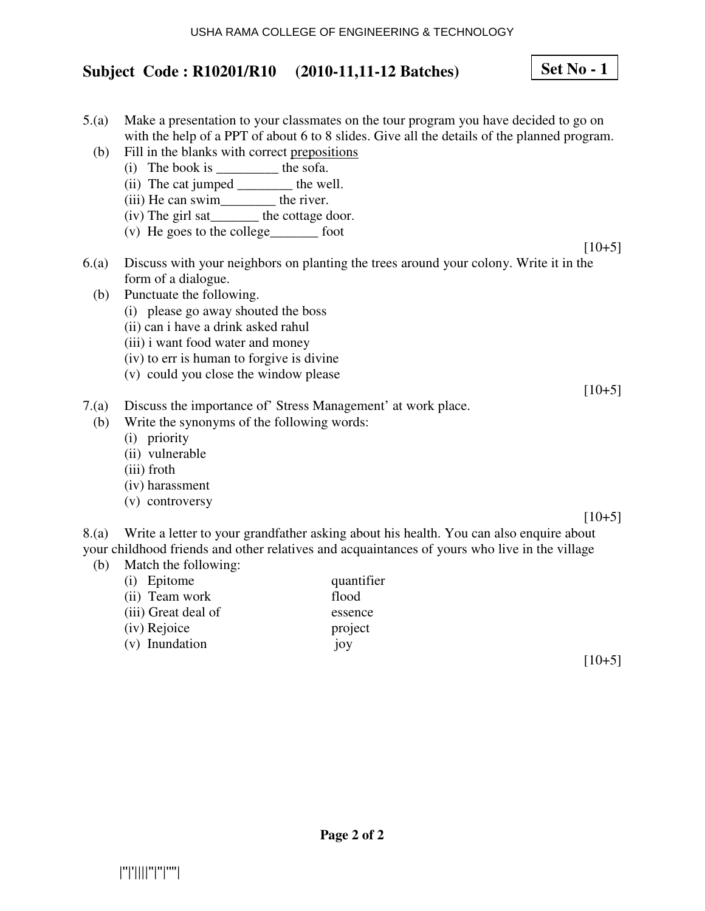# **Subject Code : R10201/R10 (2010-11,11-12 Batches)**

- 5.(a) Make a presentation to your classmates on the tour program you have decided to go on with the help of a PPT of about 6 to 8 slides. Give all the details of the planned program.
	- (b) Fill in the blanks with correct prepositions
		- (i) The book is  $\frac{1}{\sqrt{1-\frac{1}{\sqrt{1-\frac{1}{\sqrt{1-\frac{1}{\sqrt{1-\frac{1}{\sqrt{1-\frac{1}{\sqrt{1-\frac{1}{\sqrt{1-\frac{1}{\sqrt{1-\frac{1}{\sqrt{1-\frac{1}{\sqrt{1-\frac{1}{\sqrt{1-\frac{1}{\sqrt{1-\frac{1}{\sqrt{1-\frac{1}{\sqrt{1-\frac{1}{\sqrt{1-\frac{1}{\sqrt{1-\frac{1}{\sqrt{1-\frac{1}{\sqrt{1-\frac{1}{\sqrt{1-\frac{1}{\sqrt{1-\frac{1}{\sqrt{1-\frac{1}{\sqrt{1-\frac{1}{\$
		- (ii) The cat jumped \_\_\_\_\_\_\_\_ the well.
		- (iii) He can swim\_\_\_\_\_\_\_\_\_ the river.
		- (iv) The girl sat\_\_\_\_\_\_\_ the cottage door.
		- (v) He goes to the college\_\_\_\_\_\_\_ foot
- $[10+5]$ 6.(a) Discuss with your neighbors on planting the trees around your colony. Write it in the form of a dialogue.
	- (b) Punctuate the following.
		- (i) please go away shouted the boss
		- (ii) can i have a drink asked rahul
		- (iii) i want food water and money
		- (iv) to err is human to forgive is divine
		- (v) could you close the window please
- 7.(a) Discuss the importance of' Stress Management' at work place.
- (b) Write the synonyms of the following words:
	- (i) priority
	- (ii) vulnerable
	- (iii) froth
	- (iv) harassment
	- (v) controversy

 $[10+5]$ 

 $[10+5]$ 

8.(a) Write a letter to your grandfather asking about his health. You can also enquire about your childhood friends and other relatives and acquaintances of yours who live in the village

**Page 2 of 2** 

(b) Match the following:

| (i) Epitome         | quantifier |
|---------------------|------------|
| (ii) Team work      | flood      |
| (iii) Great deal of | essence    |
| (iv) Rejoice        | project    |
| (v) Inundation      | joy        |

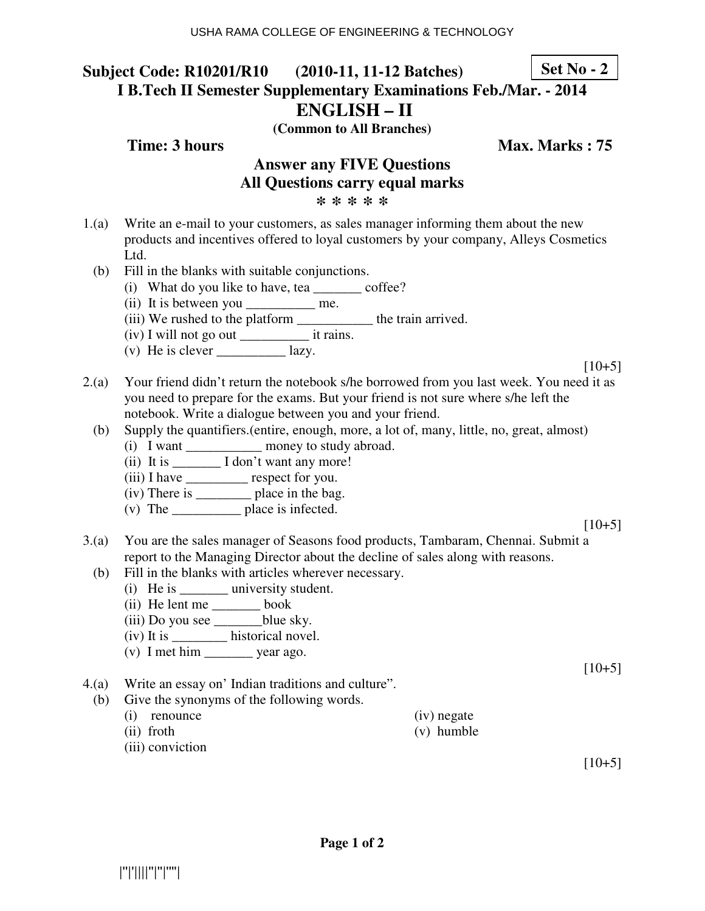#### **Subject Code: R10201/R10 (2010-11, 11-12 Batches) I B.Tech II Semester Supplementary Examinations Feb./Mar. - 2014 ENGLISH – II Set No - 2**

**(Common to All Branches)**

**Time: 3 hours** Max. Marks : 75

### **Answer any FIVE Questions All Questions carry equal marks \* \* \* \* \***

- 1.(a) Write an e-mail to your customers, as sales manager informing them about the new products and incentives offered to loyal customers by your company, Alleys Cosmetics Ltd.
	- (b) Fill in the blanks with suitable conjunctions.
		- (i) What do you like to have, tea \_\_\_\_\_\_\_ coffee?
		- (ii) It is between you \_\_\_\_\_\_\_\_\_\_\_\_ me.
		- (iii) We rushed to the platform \_\_\_\_\_\_\_\_\_\_\_ the train arrived.
		- (iv) I will not go out \_\_\_\_\_\_\_\_\_\_ it rains.
		- (v) He is clever  $\qquad \qquad$  lazy.

 $[10+5]$ 

- 2.(a) Your friend didn't return the notebook s/he borrowed from you last week. You need it as you need to prepare for the exams. But your friend is not sure where s/he left the notebook. Write a dialogue between you and your friend.
	- (b) Supply the quantifiers.(entire, enough, more, a lot of, many, little, no, great, almost)
		- (i) I want \_\_\_\_\_\_\_\_\_\_\_ money to study abroad.
		- (ii) It is  $\frac{1}{\sqrt{1}} \frac{1}{\tan^2 t}$  want any more!
		- (iii) I have \_\_\_\_\_\_\_\_\_ respect for you.
		- (iv) There is \_\_\_\_\_\_\_\_ place in the bag.
		- (v) The \_\_\_\_\_\_\_\_\_\_ place is infected.

 $[10+5]$ 

- 3.(a) You are the sales manager of Seasons food products, Tambaram, Chennai. Submit a report to the Managing Director about the decline of sales along with reasons.
	- (b) Fill in the blanks with articles wherever necessary.
		- (i) He is \_\_\_\_\_\_\_\_ university student.
		- (ii) He lent me \_\_\_\_\_\_\_ book
		- $(iii)$  Do you see  $\_\_\_\_\_$ blue sky.
		- (iv) It is \_\_\_\_\_\_\_\_ historical novel.
		- (v) I met him \_\_\_\_\_\_\_ year ago.

4.(a) Write an essay on' Indian traditions and culture".

- (b) Give the synonyms of the following words.
	- (i) renounce (ii) froth (iv) negate
		- (v) humble

(iii) conviction

 $[10+5]$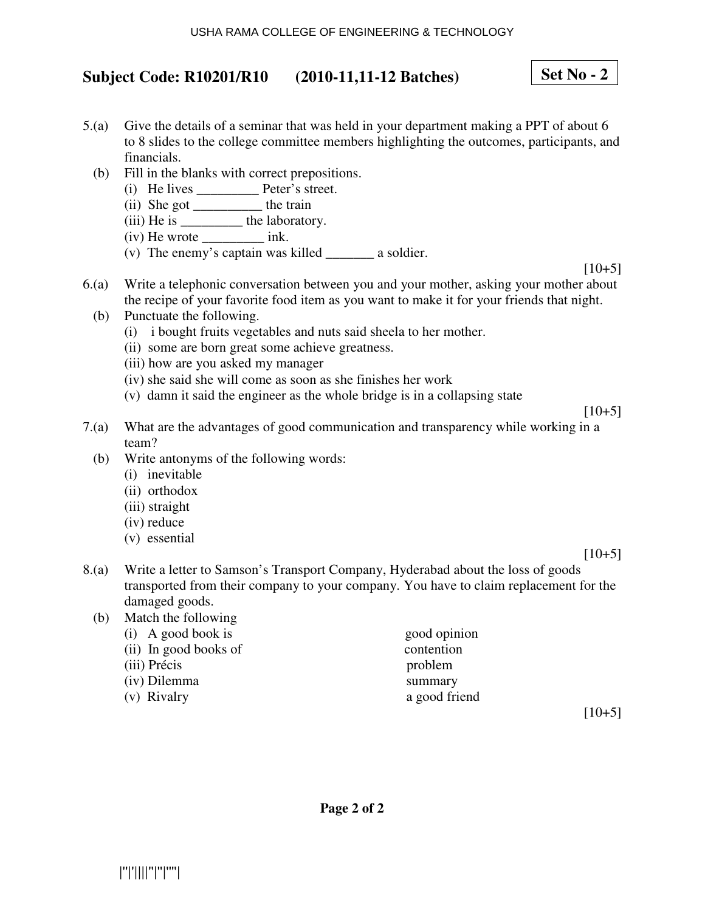# **Subject Code: R10201/R10 (2010-11,11-12 Batches)**

# **Set No - 2**

- 5.(a) Give the details of a seminar that was held in your department making a PPT of about 6 to 8 slides to the college committee members highlighting the outcomes, participants, and financials.
	- (b) Fill in the blanks with correct prepositions.
		- (i) He lives \_\_\_\_\_\_\_\_\_ Peter's street.
		- (ii) She got \_\_\_\_\_\_\_\_\_\_ the train
		- (iii) He is \_\_\_\_\_\_\_\_\_\_\_ the laboratory.
		- (iv) He wrote \_\_\_\_\_\_\_\_\_ ink.
		- (v) The enemy's captain was killed \_\_\_\_\_\_\_ a soldier.

 $[10+5]$ 

- 6.(a) Write a telephonic conversation between you and your mother, asking your mother about the recipe of your favorite food item as you want to make it for your friends that night.
	- (b) Punctuate the following.
		- (i) i bought fruits vegetables and nuts said sheela to her mother.
		- (ii) some are born great some achieve greatness.
		- (iii) how are you asked my manager
		- (iv) she said she will come as soon as she finishes her work
		- (v) damn it said the engineer as the whole bridge is in a collapsing state

 $[10+5]$ 

- 7.(a) What are the advantages of good communication and transparency while working in a team?
	- (b) Write antonyms of the following words:
		- (i) inevitable
		- (ii) orthodox
		- (iii) straight
		- (iv) reduce
		- (v) essential

 $[10+5]$ 

8.(a) Write a letter to Samson's Transport Company, Hyderabad about the loss of goods transported from their company to your company. You have to claim replacement for the damaged goods.

| (b) | Match the following   |               |
|-----|-----------------------|---------------|
|     | $(i)$ A good book is  | good opinion  |
|     | (ii) In good books of | contention    |
|     | (iii) Précis          | problem       |
|     | (iv) Dilemma          | summary       |
|     | (v) Rivalry           | a good friend |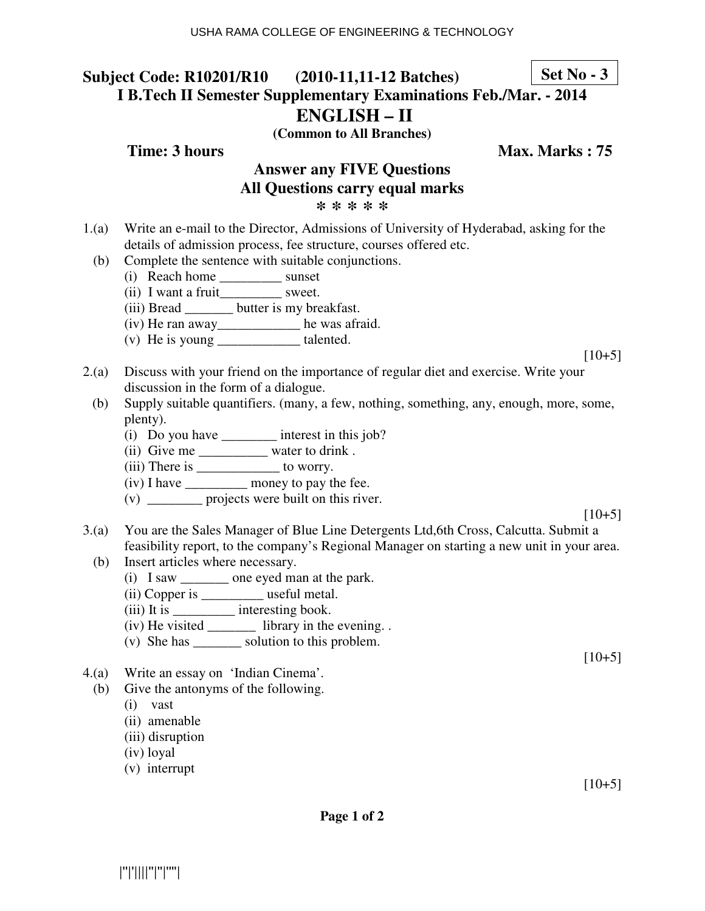### **Subject Code: R10201/R10 (2010-11,11-12 Batches) I B.Tech II Semester Supplementary Examinations Feb./Mar. - 2014 ENGLISH – II Set No - 3**

**(Common to All Branches)**

**Time: 3 hours Max. Marks : 75** 

# **Answer any FIVE Questions All Questions carry equal marks**

**\* \* \* \* \***

- 1.(a) Write an e-mail to the Director, Admissions of University of Hyderabad, asking for the details of admission process, fee structure, courses offered etc.
	- (b) Complete the sentence with suitable conjunctions.
		- (i) Reach home \_\_\_\_\_\_\_\_\_ sunset
		- (ii) I want a fruit\_\_\_\_\_\_\_\_\_\_ sweet.
		- (iii) Bread \_\_\_\_\_\_\_ butter is my breakfast.
		- (iv) He ran away\_\_\_\_\_\_\_\_\_\_\_\_ he was afraid.
		- (v) He is young \_\_\_\_\_\_\_\_\_\_\_\_ talented.
- 2.(a) Discuss with your friend on the importance of regular diet and exercise. Write your discussion in the form of a dialogue.
	- (b) Supply suitable quantifiers. (many, a few, nothing, something, any, enough, more, some, plenty).
		- (i) Do you have \_\_\_\_\_\_\_\_ interest in this job?
		- (ii) Give me \_\_\_\_\_\_\_\_\_\_\_\_ water to drink .
		- (iii) There is \_\_\_\_\_\_\_\_\_\_\_\_\_ to worry.
		- (iv) I have \_\_\_\_\_\_\_\_\_ money to pay the fee.
		- (v) \_\_\_\_\_\_\_\_ projects were built on this river.
- $[10+5]$
- 3.(a) You are the Sales Manager of Blue Line Detergents Ltd,6th Cross, Calcutta. Submit a feasibility report, to the company's Regional Manager on starting a new unit in your area.
	- (b) Insert articles where necessary.
		- (i) I saw \_\_\_\_\_\_\_ one eyed man at the park.
		- (ii) Copper is \_\_\_\_\_\_\_\_\_ useful metal.
		- (iii) It is \_\_\_\_\_\_\_\_\_ interesting book.
		- (iv) He visited \_\_\_\_\_\_\_ library in the evening. .
		- (v) She has \_\_\_\_\_\_\_ solution to this problem.
- 4.(a) Write an essay on 'Indian Cinema'.
- (b) Give the antonyms of the following.
	- (i) vast
	- (ii) amenable
	- (iii) disruption
	- (iv) loyal
	- (v) interrupt

 $[10+5]$ 

 $[10+5]$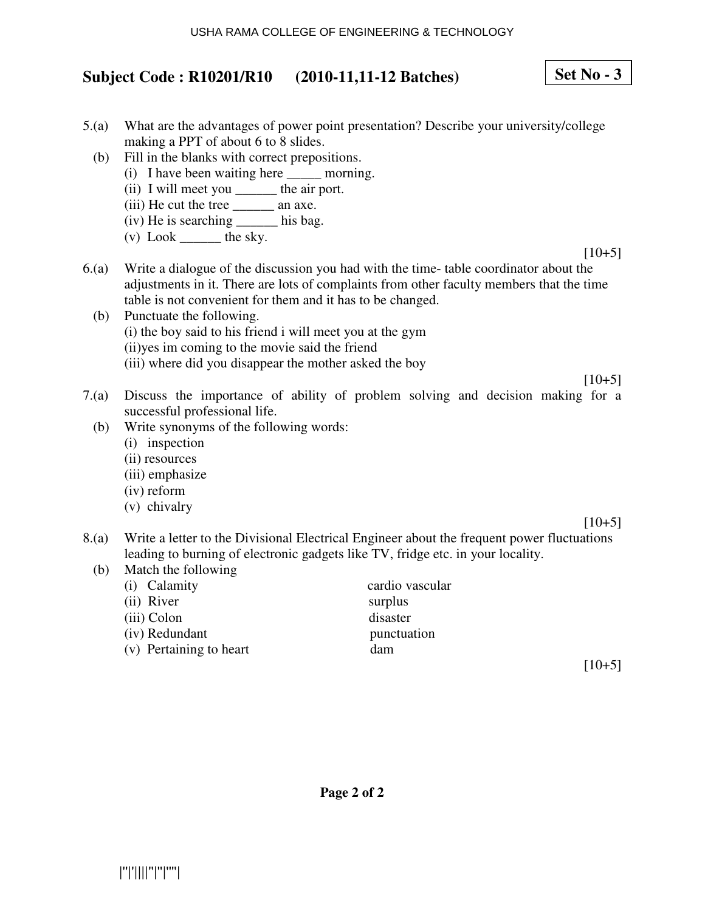### USHA RAMA COLLEGE OF ENGINEERING & TECHNOLOGY

## **Subject Code : R10201/R10 (2010-11,11-12 Batches)**

- 5.(a) What are the advantages of power point presentation? Describe your university/college making a PPT of about 6 to 8 slides.
	- (b) Fill in the blanks with correct prepositions.
		- (i) I have been waiting here \_\_\_\_\_ morning.
		- (ii) I will meet you \_\_\_\_\_\_\_ the air port.
		- (iii) He cut the tree \_\_\_\_\_\_ an axe.
		- (iv) He is searching \_\_\_\_\_\_ his bag.
		- $(v)$  Look \_\_\_\_\_\_\_ the sky.

 $[10+5]$ 

**Set No - 3**

 $[10+5]$ 

- 6.(a) Write a dialogue of the discussion you had with the time- table coordinator about the adjustments in it. There are lots of complaints from other faculty members that the time table is not convenient for them and it has to be changed.
	- (b) Punctuate the following. (i) the boy said to his friend i will meet you at the gym (ii)yes im coming to the movie said the friend (iii) where did you disappear the mother asked the boy
- 7.(a) Discuss the importance of ability of problem solving and decision making for a successful professional life.
	- (b) Write synonyms of the following words:
		- (i) inspection
		- (ii) resources
		- (iii) emphasize
		- (iv) reform
		- (v) chivalry

 $[10+5]$ 

- 8.(a) Write a letter to the Divisional Electrical Engineer about the frequent power fluctuations leading to burning of electronic gadgets like TV, fridge etc. in your locality.
	- (b) Match the following

| (i) Calamity            | cardio vascular |
|-------------------------|-----------------|
| (ii) River              | surplus         |
| (iii) Colon             | disaster        |
| (iv) Redundant          | punctuation     |
| (v) Pertaining to heart | dam             |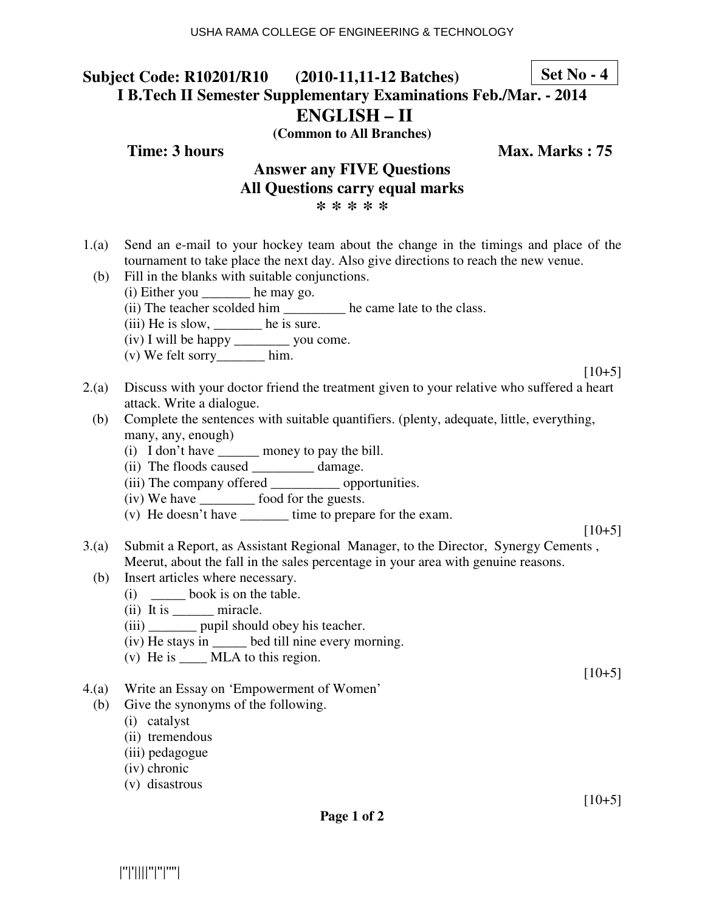### **Subject Code: R10201/R10 (2010-11,11-12 Batches) I B.Tech II Semester Supplementary Examinations Feb./Mar. - 2014 ENGLISH – II Set No - 4**

**(Common to All Branches)**

**Time: 3 hours Max. Marks : 75** 

# **Answer any FIVE Questions All Questions carry equal marks**

**\* \* \* \* \***

- 1.(a) Send an e-mail to your hockey team about the change in the timings and place of the tournament to take place the next day. Also give directions to reach the new venue.
	- (b) Fill in the blanks with suitable conjunctions.
		- (i) Either you \_\_\_\_\_\_\_ he may go.
		- (ii) The teacher scolded him \_\_\_\_\_\_\_\_\_ he came late to the class.
		- $(iii)$  He is slow, \_\_\_\_\_\_\_\_ he is sure.
		- (iv) I will be happy \_\_\_\_\_\_\_\_ you come.
		- (v) We felt sorry\_\_\_\_\_\_\_ him.

 $[10+5]$ 

- 2.(a) Discuss with your doctor friend the treatment given to your relative who suffered a heart attack. Write a dialogue.
	- (b) Complete the sentences with suitable quantifiers. (plenty, adequate, little, everything, many, any, enough)
		- (i) I don't have \_\_\_\_\_\_ money to pay the bill.
		- (ii) The floods caused \_\_\_\_\_\_\_\_\_ damage.
		- (iii) The company offered \_\_\_\_\_\_\_\_\_\_ opportunities.
		- (iv) We have \_\_\_\_\_\_\_\_ food for the guests.
		- (v) He doesn't have  $\qquad \qquad$  time to prepare for the exam.

 $[10+5]$ 

- 3.(a) Submit a Report, as Assistant Regional Manager, to the Director, Synergy Cements , Meerut, about the fall in the sales percentage in your area with genuine reasons.
	- (b) Insert articles where necessary.
		- (i) \_\_\_\_\_ book is on the table.
		- (ii) It is \_\_\_\_\_\_\_ miracle.
		- (iii) \_\_\_\_\_\_\_\_ pupil should obey his teacher.
		- (iv) He stays in \_\_\_\_\_ bed till nine every morning.
		- (v) He is \_\_\_\_ MLA to this region.
- 4.(a) Write an Essay on 'Empowerment of Women'
	- (b) Give the synonyms of the following.
		- (i) catalyst
		- (ii) tremendous
		- (iii) pedagogue
		- (iv) chronic
		- (v) disastrous

 $[10+5]$